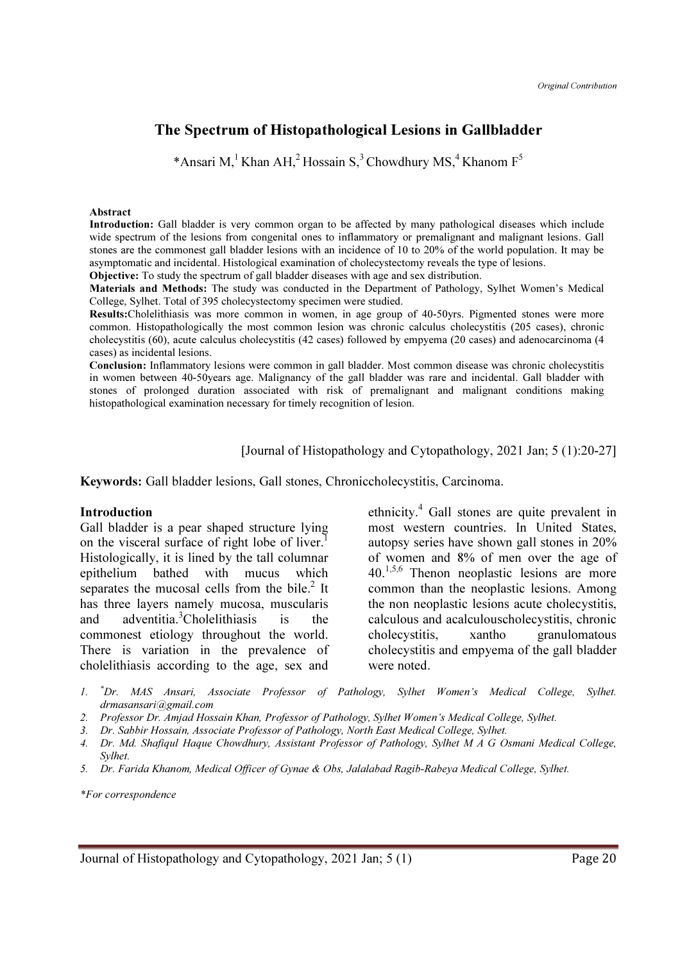# The Spectrum of Histopathological Lesions in Gallbladder

\*Ansari M,<sup>1</sup> Khan AH,<sup>2</sup> Hossain S,<sup>3</sup> Chowdhury MS,<sup>4</sup> Khanom F<sup>5</sup>

#### Abstract

Introduction: Gall bladder is very common organ to be affected by many pathological diseases which include wide spectrum of the lesions from congenital ones to inflammatory or premalignant and malignant lesions. Gall stones are the commonest gall bladder lesions with an incidence of 10 to 20% of the world population. It may be asymptomatic and incidental. Histological examination of cholecystectomy reveals the type of lesions.

Objective: To study the spectrum of gall bladder diseases with age and sex distribution.

Materials and Methods: The study was conducted in the Department of Pathology, Sylhet Women's Medical College, Sylhet. Total of 395 cholecystectomy specimen were studied.

Results:Cholelithiasis was more common in women, in age group of 40-50yrs. Pigmented stones were more common. Histopathologically the most common lesion was chronic calculus cholecystitis (205 cases), chronic cholecystitis (60), acute calculus cholecystitis (42 cases) followed by empyema (20 cases) and adenocarcinoma (4 cases) as incidental lesions.

Conclusion: Inflammatory lesions were common in gall bladder. Most common disease was chronic cholecystitis in women between 40-50years age. Malignancy of the gall bladder was rare and incidental. Gall bladder with stones of prolonged duration associated with risk of premalignant and malignant conditions making histopathological examination necessary for timely recognition of lesion.

[Journal of Histopathology and Cytopathology, 2021 Jan; 5 (1):20-27]

Keywords: Gall bladder lesions, Gall stones, Chroniccholecystitis, Carcinoma.

#### Introduction

Gall bladder is a pear shaped structure lying on the visceral surface of right lobe of liver.<sup>1</sup> Histologically, it is lined by the tall columnar epithelium bathed with mucus which separates the mucosal cells from the bile. $2$  It has three layers namely mucosa, muscularis and adventitia.<sup>3</sup>Cholelithiasis is the commonest etiology throughout the world. There is variation in the prevalence of cholelithiasis according to the age, sex and

ethnicity.<sup>4</sup> Gall stones are quite prevalent in most western countries. In United States, autopsy series have shown gall stones in 20% of women and 8% of men over the age of  $40.<sup>1,5,6</sup>$  Thenon neoplastic lesions are more common than the neoplastic lesions. Among the non neoplastic lesions acute cholecystitis, calculous and acalculouscholecystitis, chronic cholecystitis, xantho granulomatous cholecystitis and empyema of the gall bladder were noted.

- 1. \*Dr. MAS Ansari, Associate Professor of Pathology, Sylhet Women's Medical College, Sylhet. drmasansari@gmail.com
- 2. Professor Dr. Amjad Hossain Khan, Professor of Pathology, Sylhet Women's Medical College, Sylhet.
- 3. Dr. Sabbir Hossain, Associate Professor of Pathology, North East Medical College, Sylhet.
- 4. Dr. Md. Shafiqul Haque Chowdhury, Assistant Professor of Pathology, Sylhet M A G Osmani Medical College, Sylhet.
- 5. Dr. Farida Khanom, Medical Officer of Gynae & Obs, Jalalabad Ragib-Rabeya Medical College, Sylhet.

\*For correspondence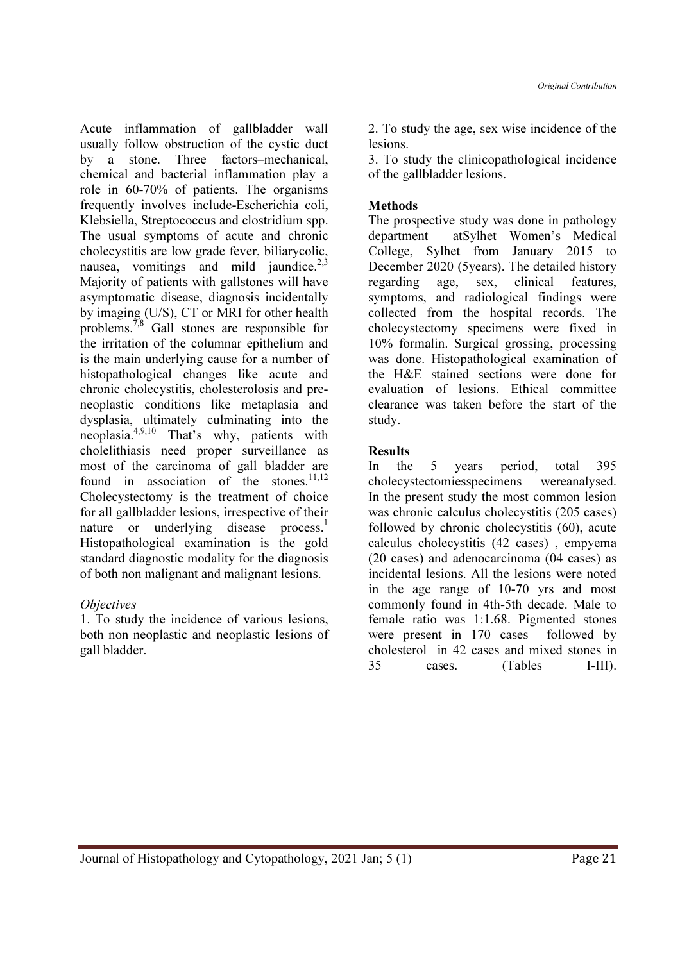Original Contribution

Acute inflammation of gallbladder wall usually follow obstruction of the cystic duct by a stone. Three factors–mechanical, chemical and bacterial inflammation play a role in 60-70% of patients. The organisms frequently involves include-Escherichia coli, Klebsiella, Streptococcus and clostridium spp. The usual symptoms of acute and chronic cholecystitis are low grade fever, biliarycolic, nausea, vomitings and mild jaundice. $2,3$ Majority of patients with gallstones will have asymptomatic disease, diagnosis incidentally by imaging (U/S), CT or MRI for other health problems.<sup>7,8</sup> Gall stones are responsible for the irritation of the columnar epithelium and is the main underlying cause for a number of histopathological changes like acute and chronic cholecystitis, cholesterolosis and preneoplastic conditions like metaplasia and dysplasia, ultimately culminating into the neoplasia.4,9,10 That's why, patients with cholelithiasis need proper surveillance as most of the carcinoma of gall bladder are found in association of the stones. $11,12$ Cholecystectomy is the treatment of choice for all gallbladder lesions, irrespective of their nature or underlying disease process.<sup>1</sup> Histopathological examination is the gold standard diagnostic modality for the diagnosis of both non malignant and malignant lesions.

## **Objectives**

1. To study the incidence of various lesions, both non neoplastic and neoplastic lesions of gall bladder.

2. To study the age, sex wise incidence of the lesions.

3. To study the clinicopathological incidence of the gallbladder lesions.

# **Methods**

The prospective study was done in pathology department atSylhet Women's Medical College, Sylhet from January 2015 to December 2020 (5years). The detailed history regarding age, sex, clinical features, symptoms, and radiological findings were collected from the hospital records. The cholecystectomy specimens were fixed in 10% formalin. Surgical grossing, processing was done. Histopathological examination of the H&E stained sections were done for evaluation of lesions. Ethical committee clearance was taken before the start of the study.

# Results

In the 5 years period, total 395 cholecystectomiesspecimens wereanalysed. In the present study the most common lesion was chronic calculus cholecystitis (205 cases) followed by chronic cholecystitis (60), acute calculus cholecystitis (42 cases) , empyema (20 cases) and adenocarcinoma (04 cases) as incidental lesions. All the lesions were noted in the age range of 10-70 yrs and most commonly found in 4th-5th decade. Male to female ratio was 1:1.68. Pigmented stones were present in 170 cases followed by cholesterol in 42 cases and mixed stones in 35 cases. (Tables I-III).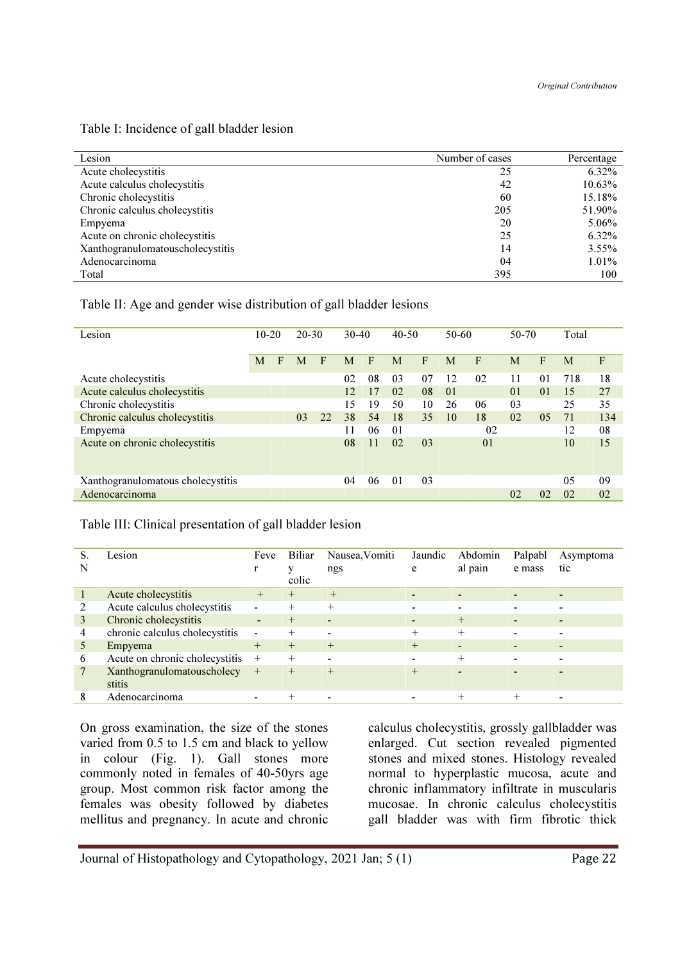| Lesion                           | Number of cases | Percentage |
|----------------------------------|-----------------|------------|
| Acute cholecystitis              | 25              | 6.32%      |
| Acute calculus cholecystitis     | 42              | 10.63%     |
| Chronic cholecystitis            | 60              | 15.18%     |
| Chronic calculus cholecystitis   | 205             | 51.90%     |
| Empyema                          | 20              | $5.06\%$   |
| Acute on chronic cholecystitis   | 25              | 6.32%      |
| Xanthogranulomatouscholecystitis | 14              | $3.55\%$   |
| Adenocarcinoma                   | 04              | $1.01\%$   |
| Total                            | 395             | 100        |

### Table II: Age and gender wise distribution of gall bladder lesions

| Lesion                            | $10 - 20$ |   | $20 - 30$ |    | $30-40$ |              | $40 - 50$      |    | $50 - 60$      |                | 50-70          |                | Total |              |
|-----------------------------------|-----------|---|-----------|----|---------|--------------|----------------|----|----------------|----------------|----------------|----------------|-------|--------------|
|                                   | M         | F | M         | F  | М       | $\mathbf{F}$ | M              | F  | M              | F              | M              | F              | M     | $\mathbf{F}$ |
| Acute cholecystitis               |           |   |           |    | 02      | 08           | 03             | 07 | 12             | 02             | 11             | 01             | 718   | 18           |
| Acute calculus cholecystitis      |           |   |           |    | 12      | 17           | 02             | 08 | 0 <sub>1</sub> |                | 0 <sub>1</sub> | 0 <sub>1</sub> | 15    | 27           |
| Chronic cholecystitis             |           |   |           |    | 15      | 19           | 50             | 10 | 26             | 06             | 03             |                | 25    | 35           |
| Chronic calculus cholecystitis    |           |   | 03        | 22 | 38      | 54           | 18             | 35 | 10             | 18             | 02             | 05             | 71    | 134          |
| Empyema                           |           |   |           |    | 11      | 06           | 0 <sub>1</sub> |    |                | 02             |                |                | 12    | 08           |
| Acute on chronic cholecystitis    |           |   |           |    | 08      | 11           | 02             | 03 |                | 0 <sub>1</sub> |                |                | 10    | 15           |
| Xanthogranulomatous cholecystitis |           |   |           |    | 04      | 06           | 0 <sub>1</sub> | 03 |                |                |                |                | 05    | 09           |
| Adenocarcinoma                    |           |   |           |    |         |              |                |    |                |                | 0 <sub>2</sub> | 02             | 02    | 02           |

### Table III: Clinical presentation of gall bladder lesion

| N | Lesion                               | Feve<br>r                    | Biliar<br>v<br>colic | Nausea, Vomiti<br>ngs    | Jaundic<br>e | Abdomin<br>al pain       | Palpabl<br>e mass | Asymptoma<br>tic             |
|---|--------------------------------------|------------------------------|----------------------|--------------------------|--------------|--------------------------|-------------------|------------------------------|
|   | Acute cholecystitis                  | $^{+}$                       | $^{+}$               | $^{+}$                   |              | $\overline{\phantom{a}}$ |                   | $\blacksquare$               |
| 2 | Acute calculus cholecystitis         | $\overline{\phantom{a}}$     | $+$                  | $+$                      |              | $\overline{\phantom{a}}$ |                   | $\overline{\phantom{0}}$     |
| 3 | Chronic cholecystitis                | $\overline{\phantom{a}}$     | $^{+}$               | $\overline{\phantom{a}}$ |              | $^{+}$                   |                   | $\qquad \qquad \blacksquare$ |
| 4 | chronic calculus cholecystitis       | $\qquad \qquad \blacksquare$ | $^{+}$               |                          | $+$          | $+$                      |                   |                              |
|   | Empyema                              | $^{+}$                       | $+$                  | $+$                      | $+$          | $\overline{\phantom{a}}$ |                   |                              |
| 6 | Acute on chronic cholecystitis       | $^{+}$                       | $+$                  | $\overline{\phantom{0}}$ |              | $^{+}$                   |                   |                              |
|   | Xanthogranulomatouscholecy<br>stitis | $+$                          | $+$                  | $^{+}$                   | $^{+}$       | $\overline{\phantom{0}}$ |                   |                              |
| 8 | Adenocarcinoma                       | $\blacksquare$               | $+$                  | $\overline{\phantom{0}}$ | $\,$         | $^{+}$                   | $+$               | $\overline{\phantom{a}}$     |

On gross examination, the size of the stones varied from 0.5 to 1.5 cm and black to yellow in colour (Fig. 1). Gall stones more commonly noted in females of 40-50yrs age group. Most common risk factor among the females was obesity followed by diabetes mellitus and pregnancy. In acute and chronic

calculus cholecystitis, grossly gallbladder was enlarged. Cut section revealed pigmented stones and mixed stones. Histology revealed normal to hyperplastic mucosa, acute and chronic inflammatory infiltrate in muscularis mucosae. In chronic calculus cholecystitis gall bladder was with firm fibrotic thick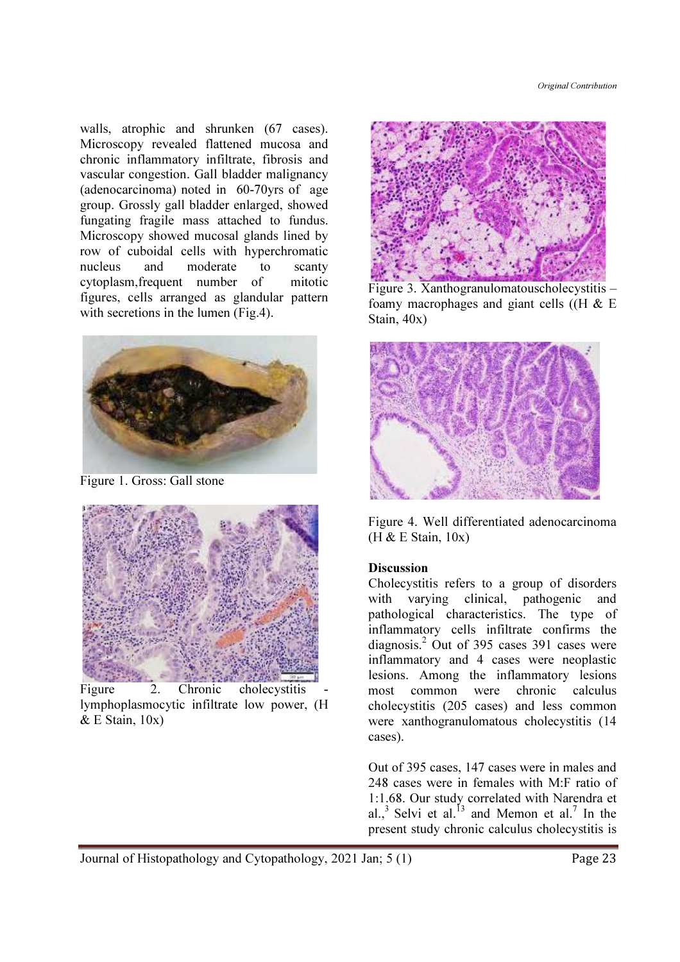walls, atrophic and shrunken (67 cases). Microscopy revealed flattened mucosa and chronic inflammatory infiltrate, fibrosis and vascular congestion. Gall bladder malignancy (adenocarcinoma) noted in 60-70yrs of age group. Grossly gall bladder enlarged, showed fungating fragile mass attached to fundus. Microscopy showed mucosal glands lined by row of cuboidal cells with hyperchromatic nucleus and moderate to scanty cytoplasm,frequent number of mitotic figures, cells arranged as glandular pattern with secretions in the lumen (Fig.4).



Figure 1. Gross: Gall stone



Figure 2. Chronic cholecystitis lymphoplasmocytic infiltrate low power, (H  $&$  E Stain,  $10x$ )



Figure 3. Xanthogranulomatouscholecystitis – foamy macrophages and giant cells  $(H \& E)$ Stain, 40x)



Figure 4. Well differentiated adenocarcinoma (H & E Stain, 10x)

### **Discussion**

Cholecystitis refers to a group of disorders with varying clinical, pathogenic and pathological characteristics. The type of inflammatory cells infiltrate confirms the diagnosis.<sup>2</sup> Out of 395 cases 391 cases were inflammatory and 4 cases were neoplastic lesions. Among the inflammatory lesions most common were chronic calculus cholecystitis (205 cases) and less common were xanthogranulomatous cholecystitis (14 cases).

Out of 395 cases, 147 cases were in males and 248 cases were in females with M:F ratio of 1:1.68. Our study correlated with Narendra et al.,<sup>3</sup> Selvi et al.<sup>13</sup> and Memon et al.<sup>7</sup> In the present study chronic calculus cholecystitis is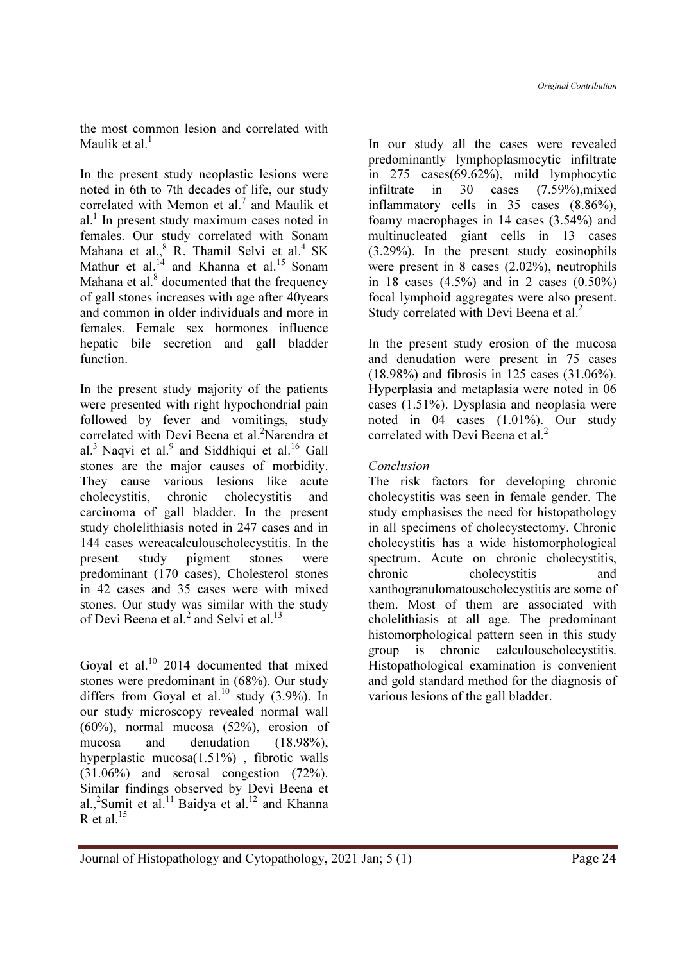the most common lesion and correlated with Maulik et al. $<sup>1</sup>$ </sup>

In the present study neoplastic lesions were noted in 6th to 7th decades of life, our study correlated with Memon et al.<sup>7</sup> and Maulik et  $al<sup>1</sup>$  In present study maximum cases noted in females. Our study correlated with Sonam Mahana et al.,<sup>8</sup> R. Thamil Selvi et al.<sup>4</sup> SK Mathur et al. $^{14}$  and Khanna et al.<sup>15</sup> Sonam Mahana et al. $<sup>8</sup>$  documented that the frequency</sup> of gall stones increases with age after 40years and common in older individuals and more in females. Female sex hormones influence hepatic bile secretion and gall bladder function.

In the present study majority of the patients were presented with right hypochondrial pain followed by fever and vomitings, study correlated with Devi Beena et al.<sup>2</sup>Narendra et al.<sup>3</sup> Naqvi et al.<sup>9</sup> and Siddhiqui et al.<sup>16</sup> Gall stones are the major causes of morbidity. They cause various lesions like acute cholecystitis, chronic cholecystitis and carcinoma of gall bladder. In the present study cholelithiasis noted in 247 cases and in 144 cases wereacalculouscholecystitis. In the present study pigment stones were predominant (170 cases), Cholesterol stones in 42 cases and 35 cases were with mixed stones. Our study was similar with the study of Devi Beena et al.<sup>2</sup> and Selvi et al.<sup>13</sup>

Goyal et al.<sup>10</sup> 2014 documented that mixed stones were predominant in (68%). Our study differs from Goyal et al.<sup>10</sup> study  $(3.9\%)$ . In our study microscopy revealed normal wall (60%), normal mucosa (52%), erosion of mucosa and denudation (18.98%), hyperplastic mucosa(1.51%) , fibrotic walls (31.06%) and serosal congestion (72%). Similar findings observed by Devi Beena et al.,<sup>2</sup>Sumit et al.<sup>11</sup> Baidya et al.<sup>12</sup> and Khanna R et al.  $^{15}$ 

In our study all the cases were revealed predominantly lymphoplasmocytic infiltrate in 275 cases(69.62%), mild lymphocytic infiltrate in 30 cases (7.59%),mixed inflammatory cells in 35 cases (8.86%), foamy macrophages in 14 cases (3.54%) and multinucleated giant cells in 13 cases (3.29%). In the present study eosinophils were present in 8 cases (2.02%), neutrophils in 18 cases (4.5%) and in 2 cases (0.50%) focal lymphoid aggregates were also present. Study correlated with Devi Beena et al.<sup>2</sup>

In the present study erosion of the mucosa and denudation were present in 75 cases (18.98%) and fibrosis in 125 cases (31.06%). Hyperplasia and metaplasia were noted in 06 cases (1.51%). Dysplasia and neoplasia were noted in 04 cases (1.01%). Our study correlated with Devi Beena et al.<sup>2</sup>

## Conclusion

The risk factors for developing chronic cholecystitis was seen in female gender. The study emphasises the need for histopathology in all specimens of cholecystectomy. Chronic cholecystitis has a wide histomorphological spectrum. Acute on chronic cholecystitis, chronic cholecystitis and xanthogranulomatouscholecystitis are some of them. Most of them are associated with cholelithiasis at all age. The predominant histomorphological pattern seen in this study group is chronic calculouscholecystitis. Histopathological examination is convenient and gold standard method for the diagnosis of various lesions of the gall bladder.

Journal of Histopathology and Cytopathology, 2021 Jan; 5 (1) Page 24